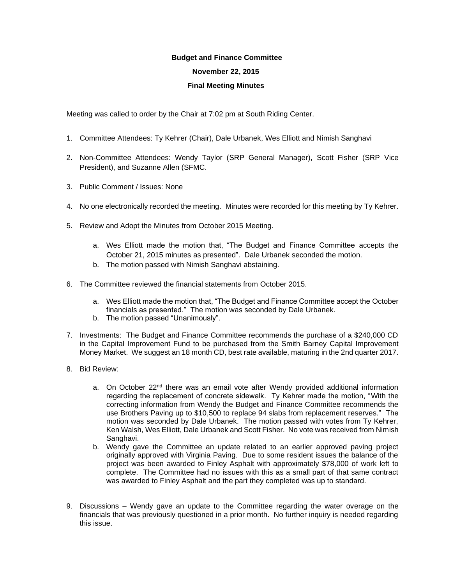## **Budget and Finance Committee**

## **November 22, 2015**

## **Final Meeting Minutes**

Meeting was called to order by the Chair at 7:02 pm at South Riding Center.

- 1. Committee Attendees: Ty Kehrer (Chair), Dale Urbanek, Wes Elliott and Nimish Sanghavi
- 2. Non-Committee Attendees: Wendy Taylor (SRP General Manager), Scott Fisher (SRP Vice President), and Suzanne Allen (SFMC.
- 3. Public Comment / Issues: None
- 4. No one electronically recorded the meeting. Minutes were recorded for this meeting by Ty Kehrer.
- 5. Review and Adopt the Minutes from October 2015 Meeting.
	- a. Wes Elliott made the motion that, "The Budget and Finance Committee accepts the October 21, 2015 minutes as presented". Dale Urbanek seconded the motion.
	- b. The motion passed with Nimish Sanghavi abstaining.
- 6. The Committee reviewed the financial statements from October 2015.
	- a. Wes Elliott made the motion that, "The Budget and Finance Committee accept the October financials as presented." The motion was seconded by Dale Urbanek.
	- b. The motion passed "Unanimously".
- 7. Investments: The Budget and Finance Committee recommends the purchase of a \$240,000 CD in the Capital Improvement Fund to be purchased from the Smith Barney Capital Improvement Money Market. We suggest an 18 month CD, best rate available, maturing in the 2nd quarter 2017.
- 8. Bid Review:
	- a. On October  $22<sup>nd</sup>$  there was an email vote after Wendy provided additional information regarding the replacement of concrete sidewalk. Ty Kehrer made the motion, "With the correcting information from Wendy the Budget and Finance Committee recommends the use Brothers Paving up to \$10,500 to replace 94 slabs from replacement reserves." The motion was seconded by Dale Urbanek. The motion passed with votes from Ty Kehrer, Ken Walsh, Wes Elliott, Dale Urbanek and Scott Fisher. No vote was received from Nimish Sanghavi.
	- b. Wendy gave the Committee an update related to an earlier approved paving project originally approved with Virginia Paving. Due to some resident issues the balance of the project was been awarded to Finley Asphalt with approximately \$78,000 of work left to complete. The Committee had no issues with this as a small part of that same contract was awarded to Finley Asphalt and the part they completed was up to standard.
- 9. Discussions Wendy gave an update to the Committee regarding the water overage on the financials that was previously questioned in a prior month. No further inquiry is needed regarding this issue.